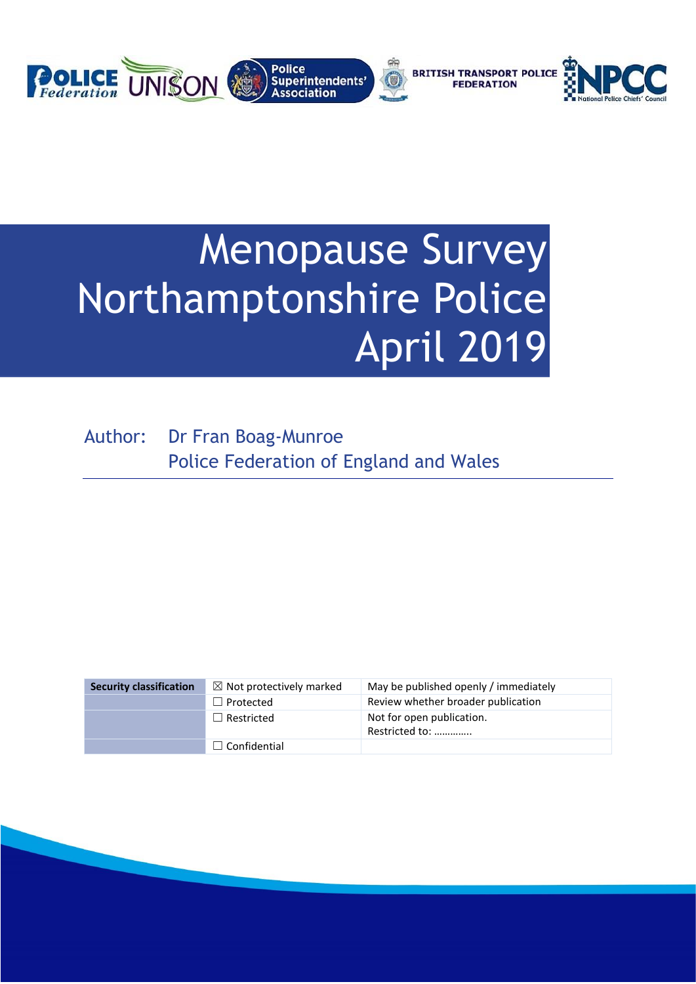

# Menopause Survey Northamptonshire Police April 2019

Author: Dr Fran Boag-Munroe Police Federation of England and Wales

| <b>Security classification</b> | $\boxtimes$ Not protectively marked | May be published openly / immediately       |
|--------------------------------|-------------------------------------|---------------------------------------------|
|                                | $\Box$ Protected                    | Review whether broader publication          |
|                                | $\Box$ Restricted                   | Not for open publication.<br>Restricted to: |
|                                | $\Box$ Confidential                 |                                             |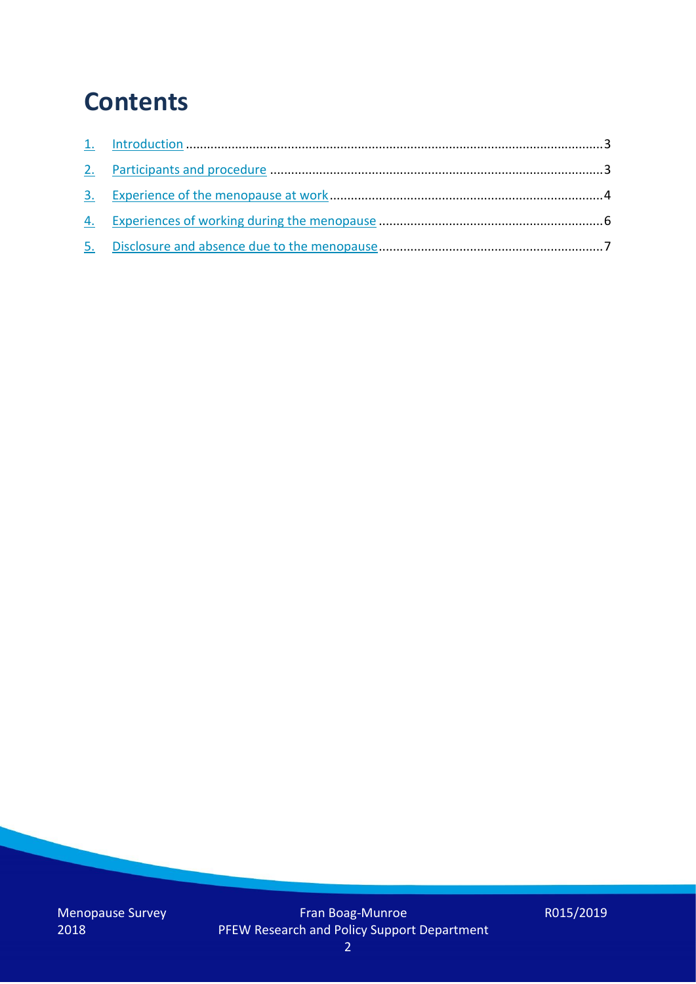## **Contents**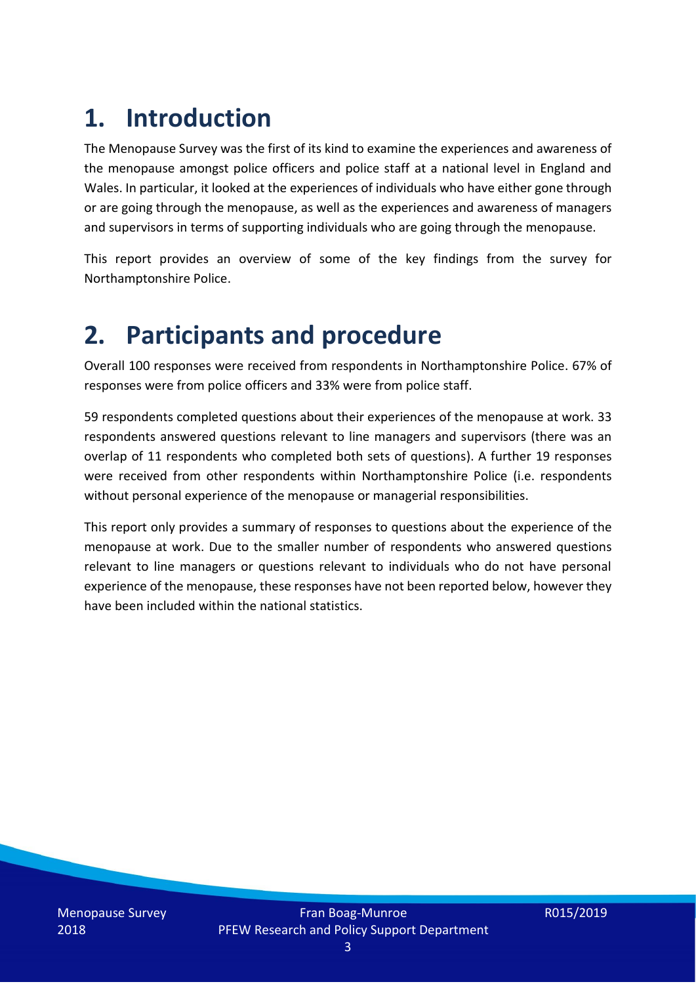## **1. Introduction**

The Menopause Survey was the first of its kind to examine the experiences and awareness of the menopause amongst police officers and police staff at a national level in England and Wales. In particular, it looked at the experiences of individuals who have either gone through or are going through the menopause, as well as the experiences and awareness of managers and supervisors in terms of supporting individuals who are going through the menopause.

This report provides an overview of some of the key findings from the survey for Northamptonshire Police.

## **2. Participants and procedure**

Overall 100 responses were received from respondents in Northamptonshire Police. 67% of responses were from police officers and 33% were from police staff.

59 respondents completed questions about their experiences of the menopause at work. 33 respondents answered questions relevant to line managers and supervisors (there was an overlap of 11 respondents who completed both sets of questions). A further 19 responses were received from other respondents within Northamptonshire Police (i.e. respondents without personal experience of the menopause or managerial responsibilities.

This report only provides a summary of responses to questions about the experience of the menopause at work. Due to the smaller number of respondents who answered questions relevant to line managers or questions relevant to individuals who do not have personal experience of the menopause, these responses have not been reported below, however they have been included within the national statistics.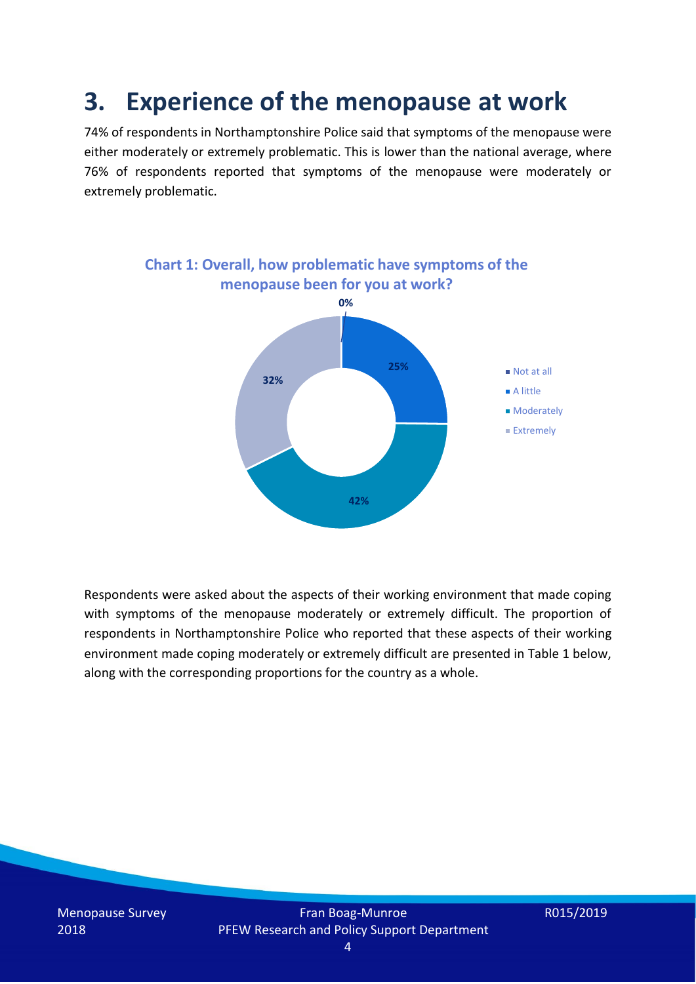## **3. Experience of the menopause at work**

74% of respondents in Northamptonshire Police said that symptoms of the menopause were either moderately or extremely problematic. This is lower than the national average, where 76% of respondents reported that symptoms of the menopause were moderately or extremely problematic.



Respondents were asked about the aspects of their working environment that made coping with symptoms of the menopause moderately or extremely difficult. The proportion of respondents in Northamptonshire Police who reported that these aspects of their working environment made coping moderately or extremely difficult are presented in Table 1 below, along with the corresponding proportions for the country as a whole.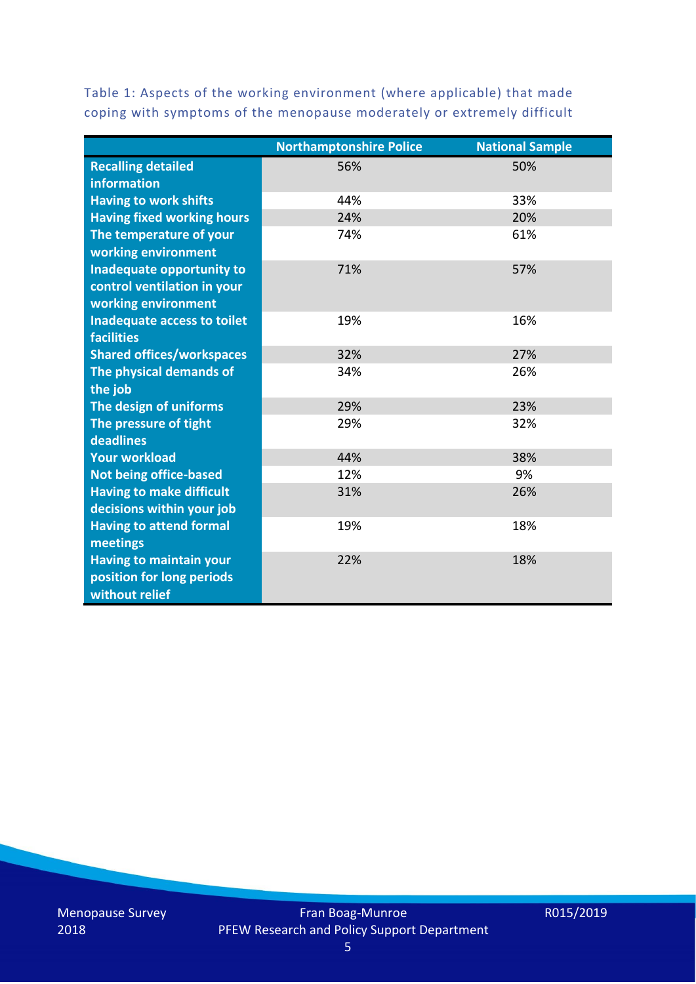Table 1: Aspects of the working environment (where applicable) that made coping with symptoms of the menopause moderately or extremely difficult

|                                   | <b>Northamptonshire Police</b> | <b>National Sample</b> |
|-----------------------------------|--------------------------------|------------------------|
| <b>Recalling detailed</b>         | 56%                            | 50%                    |
| information                       |                                |                        |
| <b>Having to work shifts</b>      | 44%                            | 33%                    |
| <b>Having fixed working hours</b> | 24%                            | 20%                    |
| The temperature of your           | 74%                            | 61%                    |
| working environment               |                                |                        |
| Inadequate opportunity to         | 71%                            | 57%                    |
| control ventilation in your       |                                |                        |
| working environment               |                                |                        |
| Inadequate access to toilet       | 19%                            | 16%                    |
| <b>facilities</b>                 |                                |                        |
| <b>Shared offices/workspaces</b>  | 32%                            | 27%                    |
| The physical demands of           | 34%                            | 26%                    |
| the job                           |                                |                        |
| The design of uniforms            | 29%                            | 23%                    |
| The pressure of tight             | 29%                            | 32%                    |
| deadlines                         |                                |                        |
| <b>Your workload</b>              | 44%                            | 38%                    |
| <b>Not being office-based</b>     | 12%                            | 9%                     |
| <b>Having to make difficult</b>   | 31%                            | 26%                    |
| decisions within your job         |                                |                        |
| <b>Having to attend formal</b>    | 19%                            | 18%                    |
| meetings                          |                                |                        |
| <b>Having to maintain your</b>    | 22%                            | 18%                    |
| position for long periods         |                                |                        |
| without relief                    |                                |                        |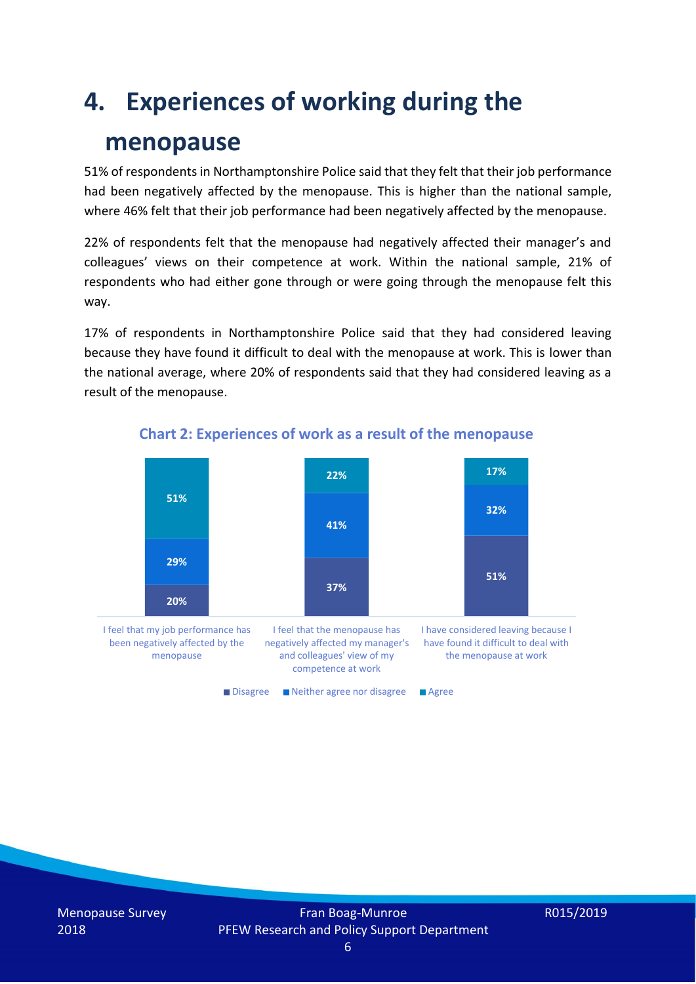## **4. Experiences of working during the**

### **menopause**

51% of respondents in Northamptonshire Police said that they felt that their job performance had been negatively affected by the menopause. This is higher than the national sample, where 46% felt that their job performance had been negatively affected by the menopause.

22% of respondents felt that the menopause had negatively affected their manager's and colleagues' views on their competence at work. Within the national sample, 21% of respondents who had either gone through or were going through the menopause felt this way.

17% of respondents in Northamptonshire Police said that they had considered leaving because they have found it difficult to deal with the menopause at work. This is lower than the national average, where 20% of respondents said that they had considered leaving as a result of the menopause.



#### **Chart 2: Experiences of work as a result of the menopause**